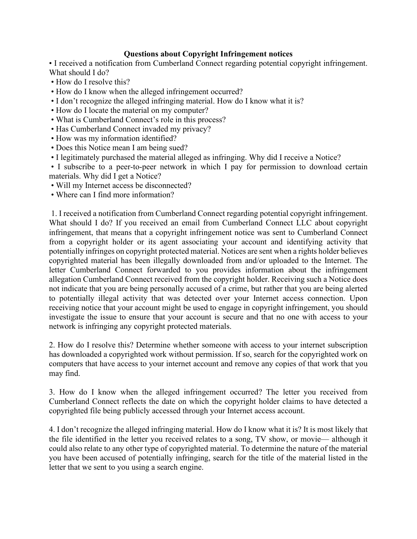## **Questions about Copyright Infringement notices**

• I received a notification from Cumberland Connect regarding potential copyright infringement. What should I do?

- How do I resolve this?
- How do I know when the alleged infringement occurred?
- I don't recognize the alleged infringing material. How do I know what it is?
- How do I locate the material on my computer?
- What is Cumberland Connect's role in this process?
- Has Cumberland Connect invaded my privacy?
- How was my information identified?
- Does this Notice mean I am being sued?
- I legitimately purchased the material alleged as infringing. Why did I receive a Notice?

• I subscribe to a peer-to-peer network in which I pay for permission to download certain materials. Why did I get a Notice?

- Will my Internet access be disconnected?
- Where can I find more information?

1. I received a notification from Cumberland Connect regarding potential copyright infringement. What should I do? If you received an email from Cumberland Connect LLC about copyright infringement, that means that a copyright infringement notice was sent to Cumberland Connect from a copyright holder or its agent associating your account and identifying activity that potentially infringes on copyright protected material. Notices are sent when a rights holder believes copyrighted material has been illegally downloaded from and/or uploaded to the Internet. The letter Cumberland Connect forwarded to you provides information about the infringement allegation Cumberland Connect received from the copyright holder. Receiving such a Notice does not indicate that you are being personally accused of a crime, but rather that you are being alerted to potentially illegal activity that was detected over your Internet access connection. Upon receiving notice that your account might be used to engage in copyright infringement, you should investigate the issue to ensure that your account is secure and that no one with access to your network is infringing any copyright protected materials.

2. How do I resolve this? Determine whether someone with access to your internet subscription has downloaded a copyrighted work without permission. If so, search for the copyrighted work on computers that have access to your internet account and remove any copies of that work that you may find.

3. How do I know when the alleged infringement occurred? The letter you received from Cumberland Connect reflects the date on which the copyright holder claims to have detected a copyrighted file being publicly accessed through your Internet access account.

4. I don't recognize the alleged infringing material. How do I know what it is? It is most likely that the file identified in the letter you received relates to a song, TV show, or movie— although it could also relate to any other type of copyrighted material. To determine the nature of the material you have been accused of potentially infringing, search for the title of the material listed in the letter that we sent to you using a search engine.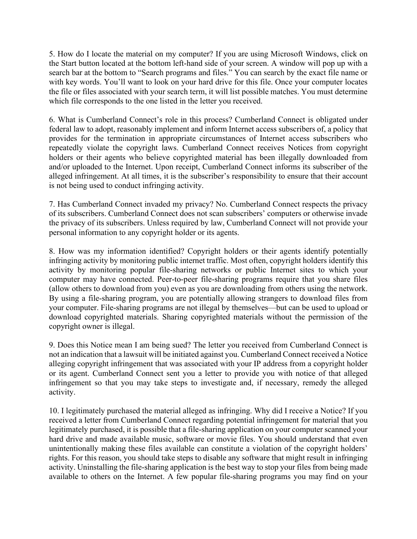5. How do I locate the material on my computer? If you are using Microsoft Windows, click on the Start button located at the bottom left-hand side of your screen. A window will pop up with a search bar at the bottom to "Search programs and files." You can search by the exact file name or with key words. You'll want to look on your hard drive for this file. Once your computer locates the file or files associated with your search term, it will list possible matches. You must determine which file corresponds to the one listed in the letter you received.

6. What is Cumberland Connect's role in this process? Cumberland Connect is obligated under federal law to adopt, reasonably implement and inform Internet access subscribers of, a policy that provides for the termination in appropriate circumstances of Internet access subscribers who repeatedly violate the copyright laws. Cumberland Connect receives Notices from copyright holders or their agents who believe copyrighted material has been illegally downloaded from and/or uploaded to the Internet. Upon receipt, Cumberland Connect informs its subscriber of the alleged infringement. At all times, it is the subscriber's responsibility to ensure that their account is not being used to conduct infringing activity.

7. Has Cumberland Connect invaded my privacy? No. Cumberland Connect respects the privacy of its subscribers. Cumberland Connect does not scan subscribers' computers or otherwise invade the privacy of its subscribers. Unless required by law, Cumberland Connect will not provide your personal information to any copyright holder or its agents.

8. How was my information identified? Copyright holders or their agents identify potentially infringing activity by monitoring public internet traffic. Most often, copyright holders identify this activity by monitoring popular file-sharing networks or public Internet sites to which your computer may have connected. Peer-to-peer file-sharing programs require that you share files (allow others to download from you) even as you are downloading from others using the network. By using a file-sharing program, you are potentially allowing strangers to download files from your computer. File-sharing programs are not illegal by themselves—but can be used to upload or download copyrighted materials. Sharing copyrighted materials without the permission of the copyright owner is illegal.

9. Does this Notice mean I am being sued? The letter you received from Cumberland Connect is not an indication that a lawsuit will be initiated against you. Cumberland Connect received a Notice alleging copyright infringement that was associated with your IP address from a copyright holder or its agent. Cumberland Connect sent you a letter to provide you with notice of that alleged infringement so that you may take steps to investigate and, if necessary, remedy the alleged activity.

10. I legitimately purchased the material alleged as infringing. Why did I receive a Notice? If you received a letter from Cumberland Connect regarding potential infringement for material that you legitimately purchased, it is possible that a file-sharing application on your computer scanned your hard drive and made available music, software or movie files. You should understand that even unintentionally making these files available can constitute a violation of the copyright holders' rights. For this reason, you should take steps to disable any software that might result in infringing activity. Uninstalling the file-sharing application is the best way to stop your files from being made available to others on the Internet. A few popular file-sharing programs you may find on your